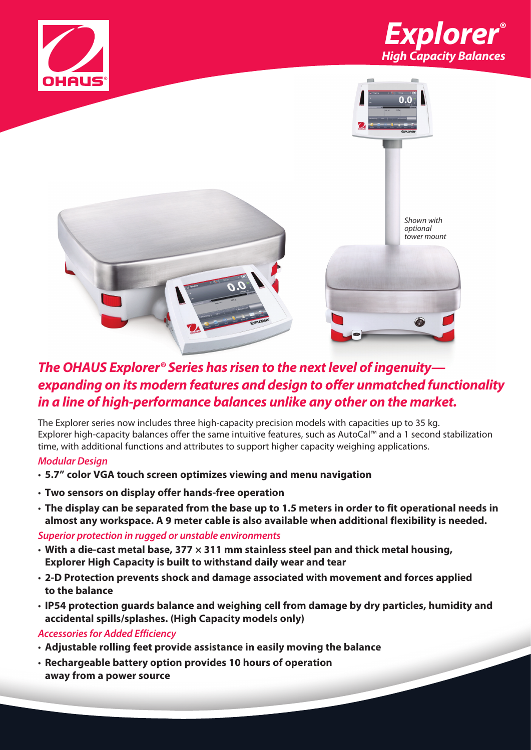





## *The OHAUS Explorer® Series has risen to the next level of ingenuity expanding on its modern features and design to offer unmatched functionality in a line of high-performance balances unlike any other on the market.*

The Explorer series now includes three high-capacity precision models with capacities up to 35 kg. Explorer high-capacity balances offer the same intuitive features, such as AutoCal™ and a 1 second stabilization time, with additional functions and attributes to support higher capacity weighing applications.

### *Modular Design*

- **5.7" color VGA touch screen optimizes viewing and menu navigation**
- **Two sensors on display offer hands-free operation**
- **The display can be separated from the base up to 1.5 meters in order to fit operational needs in almost any workspace. A 9 meter cable is also available when additional flexibility is needed.**

### *Superior protection in rugged or unstable environments*

- **With a die-cast metal base, 377 × 311 mm stainless steel pan and thick metal housing, Explorer High Capacity is built to withstand daily wear and tear**
- **2-D Protection prevents shock and damage associated with movement and forces applied to the balance**
- **IP54 protection guards balance and weighing cell from damage by dry particles, humidity and accidental spills/splashes. (High Capacity models only)**

### *Accessories for Added Efficiency*

- **Adjustable rolling feet provide assistance in easily moving the balance**
- **Rechargeable battery option provides 10 hours of operation away from a power source**